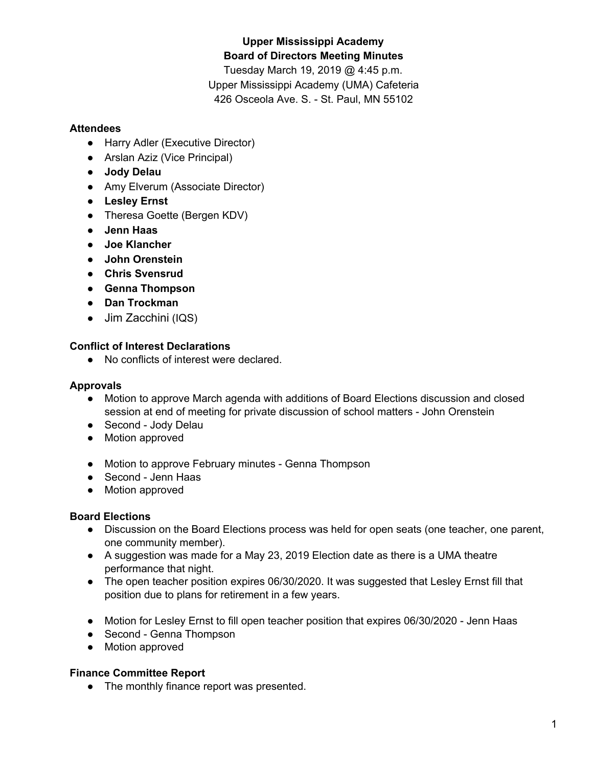# **Upper Mississippi Academy Board of Directors Meeting Minutes**

Tuesday March 19, 2019 @ 4:45 p.m. Upper Mississippi Academy (UMA) Cafeteria 426 Osceola Ave. S. - St. Paul, MN 55102

## **Attendees**

- Harry Adler (Executive Director)
- Arslan Aziz (Vice Principal)
- **● Jody Delau**
- Amy Elverum (Associate Director)
- **● Lesley Ernst**
- Theresa Goette (Bergen KDV)
- **● Jenn Haas**
- **● Joe Klancher**
- **● John Orenstein**
- **● Chris Svensrud**
- **● Genna Thompson**
- **● Dan Trockman**
- Jim Zacchini (IQS)

# **Conflict of Interest Declarations**

● No conflicts of interest were declared.

## **Approvals**

- Motion to approve March agenda with additions of Board Elections discussion and closed session at end of meeting for private discussion of school matters - John Orenstein
- Second Jody Delau
- Motion approved
- Motion to approve February minutes Genna Thompson
- Second Jenn Haas
- Motion approved

# **Board Elections**

- Discussion on the Board Elections process was held for open seats (one teacher, one parent, one community member).
- A suggestion was made for a May 23, 2019 Election date as there is a UMA theatre performance that night.
- The open teacher position expires 06/30/2020. It was suggested that Lesley Ernst fill that position due to plans for retirement in a few years.
- Motion for Lesley Ernst to fill open teacher position that expires 06/30/2020 Jenn Haas
- Second Genna Thompson
- Motion approved

### **Finance Committee Report**

● The monthly finance report was presented.